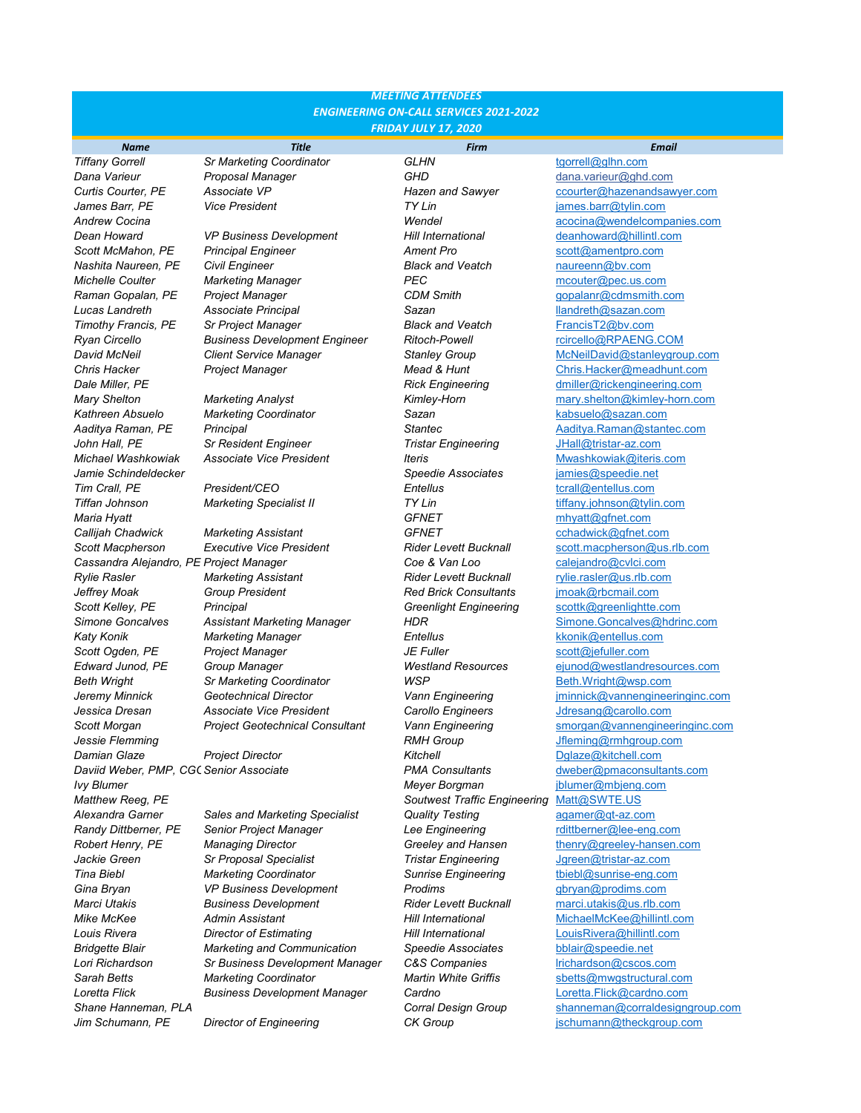# *MEETING ATTENDEES ENGINEERING ON-CALL SERVICES 2021-2022 FRIDAY JULY 17, 2020*

*Tiffany Gorrell Sr Marketing Coordinator GLHN* [tgorrell@glhn.com](mailto:tgorrell@glhn.com)

**Dean Howard** *VP Business Development Hill International* <u>[deanhoward@hillintl.com](mailto:deanhoward@hillintl.com)</u><br> **Scott McMahon, PE** Principal Engineer **Ament Pro Ament Pro Cott**@amentpro.com *Scott McMahon, PE Principal Engineer Ament Pro* [scott@amentpro.com](mailto:scott@amentpro.com) **Nashita Naureen, PE Civil Engineer Black and Veatch Black and Veatch Bulger is communist Communist Analysis** of *BEC Michelle Coulter* **Marketing Manager** *PEC PEC* [mcouter@pec.us.com](mailto:mcouter@pec.us.com)<br>**Raman Gopalan, PE** Project Manager **Property CDM Smith** and *gopalanr@cdmsmith.c* **Project Manager CDM Smith** [gopalanr@cdmsmith.com](mailto:gopalanr@cdmsmith.com)<br>Associate Principal Sazan<br>Sazan Sazan Illandreth@sazan.com *Lucas Landreth Associate Principal Sazan* [llandreth@sazan.com](mailto:llandreth@sazan.com) **Timothy Francis, PE** Sr Project Manager **Brown Black and Veatch [FrancisT2@bv.com](mailto:FrancisT2@bv.com)**<br>**Ryan Circello Brown Business Development Engineer Ritoch-Powell FrancisT2@DV.com Brown Brown Brown Brown Brown Ryan Circello Business Development Engineer** 

*Callijah Chadwick Marketing Assistant GFNET* [cchadwick@gfnet.com](mailto:cchadwick@gfnet.com) *Scott Macpherson Executive Vice President Rider Levett Bucknall* [scott.macpherson@us.rlb.com](mailto:scott.macpherson@us.rlb.com) *Cassandra Alejandro, PE Project Manager Coe & Van Loo* [calejandro@cvlci.com](mailto:calejandro@cvlci.com) *Rylie Rasler Marketing Assistant Rider Levett Bucknall* [rylie.rasler@us.rlb.com](mailto:rylie.rasler@us.rlb.com) *Jeffrey Moak Group President Red Brick Consultants* [jmoak@rbcmail.com](mailto:jmoak@rbcmail.com) *Scott Kelley, PE Principal Greenlight Engineering* [scottk@greenlightte.com](mailto:scottk@greenlightte.com) *Katy Konik Marketing Manager Entellus* [kkonik@entellus.com](mailto:kkonik@entellus.com) *Scott Ogden, PE Project Manager JE Fuller* [scott@jefuller.com](mailto:scott@jefuller.com) *Beth Wright Sr Marketing Coordinator WSP* [Beth.Wright@wsp.com](mailto:Beth.Wright@wsp.com) *Jessica Dresan Associate Vice President Carollo Engineers* [Jdresang@carollo.com](mailto:Jdresang@carollo.com)

Alexandra Garner *Sales and Marketing Specialist* **<b>Alguary 7 Caracter Container** *agamer*@qt-az.com **Randy Dittberner, PE** Senior Project Manager *Lee Engineering* retails retailed resource on the *Ready Dittberner@lee-eng.com Robert Henry, PE Managing Director Greeley and Hansen* [thenry@greeley-hansen.com](mailto:thenry@greeley-hansen.com) *Jackie Green Sr Proposal Specialist Tristar Engineering* [Jgreen@tristar-az.com](mailto:Jgreen@tristar-az.com) *Tina Biebl Marketing Coordinator Sunrise Engineering* [tbiebl@sunrise-eng.com](mailto:tbiebl@sunrise-eng.com) **Gina Bryan** *VP Business Development Prodims Prodims* **[gbryan@prodims.com](mailto:gbryan@prodims.com)** *Marci Utakis Business Development Rider Levett Bucknall* [marci.utakis@us.rlb.com](mailto:marci.utakis@us.rlb.com) **Mike McKee Admin Assistant Admin Assistant Hill International** [MichaelMcKee@hillintl.com](mailto:MichaelMcKee@hillintl.com)<br> **Admin Assistant** *Director of Estimating* Hill International LouisRivera@hillintl.com *Bridgette Blair Marketing and Communication Speedie Associates* [bblair@speedie.net](mailto:bblair@speedie.net) *Lori Richardson Sr Business Development Manager C&S Companies* [lrichardson@cscos.com](mailto:lrichardson@cscos.com) *Sarah Betts Marketing Coordinator Martin White Griffis* [sbetts@mwgstructural.com](mailto:sbetts@mwgstructural.com) *Loretta Flick Business Development Manager Cardno* [Loretta.Flick@cardno.com](mailto:Loretta.Flick@cardno.com)

*Dana Varieur Proposal Manager GHD* [dana.varieur@ghd.com](mailto:dana.varieur@ghd.com) *James Barr, PE Vice President TY Lin* [james.barr@tylin.com](mailto:james.barr@tylin.com) *Kathreen Absuelo Marketing Coordinator Sazan* [kabsuelo@sazan.com](mailto:kabsuelo@sazan.com) *John Hall, PE Sr Resident Engineer Tristar Engineering* [JHall@tristar-az.com](mailto:JHall@tristar-az.com) *Michael Washkowiak Associate Vice President Iteris Iteris Iteris [Mwashkowiak@iteris.com](mailto:Mwashkowiak@iteris.com)*<br>Jamie Schindeldecker **Interpretational Speedie Associates** *iamies@speedie.net Jamie Schindeldecker Speedie Associates* [jamies@speedie.net](mailto:jamies@speedie.net) *Tim Crall, PE President/CEO Entellus* [tcrall@entellus.com](mailto:tcrall@entellus.com) *Tiffan Johnson Marketing Specialist II TY Lin* [tiffany.johnson@tylin.com](mailto:tiffany.johnson@tylin.com) *Maria Hyatt GFNET* [mhyatt@gfnet.com](mailto:mhyatt@gfnet.com) *Jessie Flemming RMH Group* [Jfleming@rmhgroup.com](mailto:Jfleming@rmhgroup.com) **Damian Glaze** *Project Director Project Director**Bitchell.com Ritchell.com*<br> **PMA Consultants CHA Consultants** *dweber@pmaconsultants* **dweber@pmaconsultants** *Ivy Blumer Meyer Borgman* [jblumer@mbjeng.com](mailto:jblumer@mbjeng.com) **Matthew Reeg, PE** *Matthew Reeg, PE Soutwest Traffic Engineering* **Jim Schumann, PE Director of Engineering CK Group CK Group [jschumann@theckgroup.com](mailto:jschumann@theckgroup.com)** 

*Name Title Firm Email Curtis Courter, PE Associate VP Hazen and Sawyer* [ccourter@hazenandsawyer.com](mailto:ccourter@hazenandsawyer.com) *Andrew Cocina Wendel* [acocina@wendelcompanies.com](mailto:acocina@wendelcompanies.com) *David McNeil Client Service Manager Stanley Group* [McNeilDavid@stanleygroup.com](mailto:McNeilDavid@stanleygroup.com) *Chris Hacker Project Manager Mead & Hunt* [Chris.Hacker@meadhunt.com](mailto:Chris.Hacker@meadhunt.com) *Dale Miller, PE Rick Engineering* [dmiller@rickengineering.com](mailto:dmiller@rickengineering.com) *Mary Shelton Marketing Analyst Kimley-Horn* [mary.shelton@kimley-horn.com](mailto:mary.shelton@kimley-horn.com) *Aaditya Raman, PE Principal Stantec* [Aaditya.Raman@stantec.com](mailto:Aaditya.Raman@stantec.com) **Simone Goncalves Assistant Marketing Manager HDR** [Simone.Goncalves@hdrinc.com](mailto:Simone.Goncalves@hdrinc.com)<br>1990 Katy Konik Manager **Manager** *Entellus* State School (School School School School School School School School School School School Schoo *Edward Junod, PE Group Manager Westland Resources* [ejunod@westlandresources.com](mailto:ejunod@westlandresources.com) *Jeremy Minnick Geotechnical Director Vann Engineering* [jminnick@vannengineeringinc.com](mailto:jminnick@vannengineeringinc.com) *Scott Morgan Project Geotechnical Consultant Vann Engineering* [smorgan@vannengineeringinc.com](mailto:smorgan@vannengineeringinc.com) *Daviid Weber, PMP, CGCSenior Associate PMA Consultants* [dweber@pmaconsultants.com](mailto:dweber@pmaconsultants.com) *Louis Rivera Director of Estimating Hill International* [LouisRivera@hillintl.com](mailto:LouisRivera@hillintl.com) *Shane Hanneman, PLA Corral Design Group* [shanneman@corraldesigngroup.com](mailto:shanneman@corraldesigngroup.com)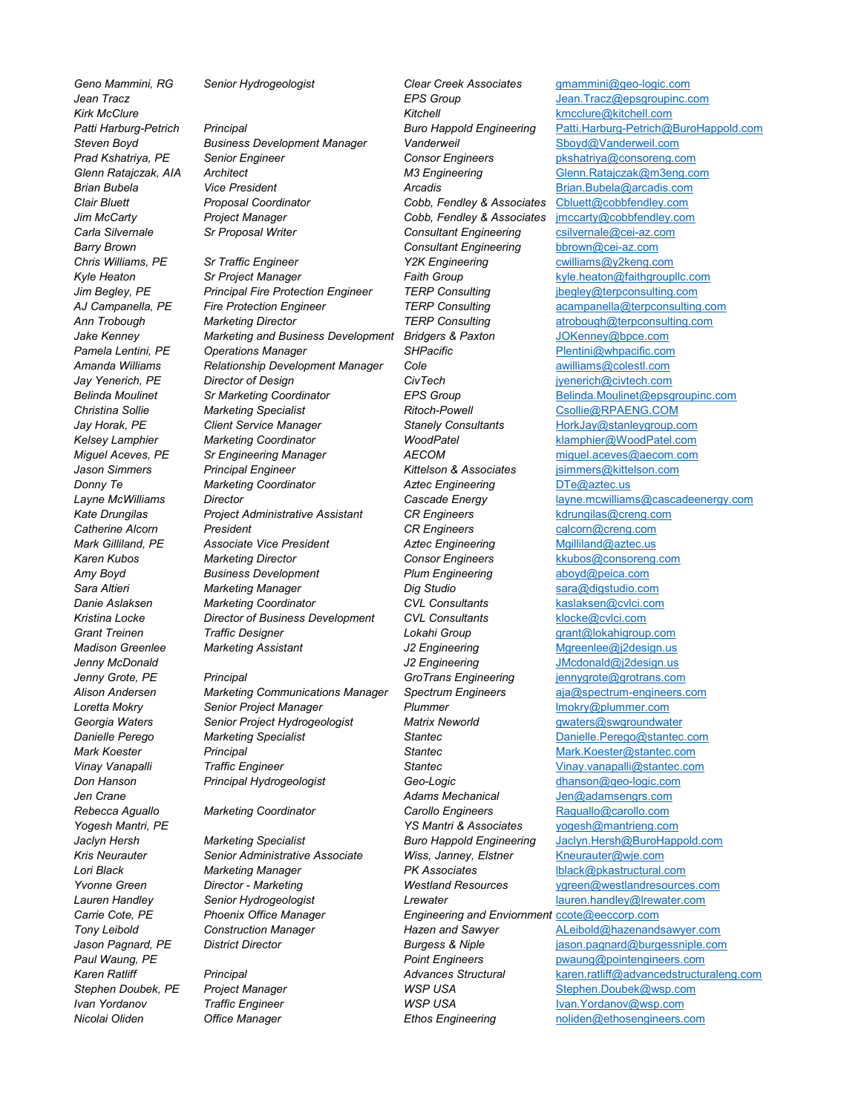*Steven Boyd Business Development Manager Vanderweil* [Sboyd@Vanderweil.com](mailto:Sboyd@Vanderweil.com) *Prad Kshatriya, PE Senior Engineer Consor Engineers* [pkshatriya@consoreng.com](mailto:pkshatriya@consoreng.com) *Glenn Ratajczak, AIA Architect M3 Engineering* [Glenn.Ratajczak@m3eng.com](mailto:Glenn.Ratajczak@m3eng.com) *Brian Bubela Vice President Arcadis* [Brian.Bubela@arcadis.com](mailto:Brian.Bubela@arcadis.com) *Clair Bluett Proposal Coordinator Cobb, Fendley & Associates* [Cbluett@cobbfendley.com](mailto:Cbluett@cobbfendley.com)

*Chris Williams, PE Sr Traffic Engineer Y2K Engineering* [cwilliams@y2keng.com](mailto:cwilliams@y2keng.com) *Kyle Heaton Sr Project Manager Faith Group* [kyle.heaton@faithgroupllc.com](mailto:kyle.heaton@faithgroupllc.com) *Jim Begley, PE Principal Fire Protection Engineer TERP Consulting ibegley@terpconsulting.com AJ Campanella, PE Fire Protection Engineer TERP Consulting* [acampanella@terpconsulting.com](mailto:acampanella@terpconsulting.com) *Ann Trobough Marketing Director TERP Consulting* [atrobough@terpconsulting.com](mailto:atrobough@terpconsulting.com) *Jake Kenney Marketing and Business Development Bridgers & Paxton* [JOKenney@bpce.com](mailto:JOKenney@bpce.com) *Pamela Lentini, PE Operations Manager SHPacific* [Plentini@whpacific.com](mailto:Plentini@whpacific.com) *Amanda Williams Relationship Development Manager Cole* **amilliams** *[awilliams@colestl.com](mailto:awilliams@colestl.com)*<br>Jav Yenerich. PE Director of Design **and** *CivTech* and an americh@civtech.com *Jay Yenerich, PE Director of Design CivTech* [jyenerich@civtech.com](mailto:jyenerich@civtech.com) *Christina Sollie Marketing Specialist Ritoch-Powell* [Csollie@RPAENG.COM](mailto:Csollie@RPAENG.COM) *Jay Horak, PE Client Service Manager Stanely Consultants* [HorkJay@stanleygroup.com](mailto:HorkJay@stanleygroup.com)<br>
Kelsev Lamphier Marketing Coordinator // WoodPatel // Websev Lamphier@WoodPatel.com *Kelsey Lamphier Marketing Coordinator WoodPatel* [klamphier@WoodPatel.com](mailto:klamphier@WoodPatel.com) *Miguel Aceves, PE Sr Engineering Manager AECOM* [miguel.aceves@aecom.com](mailto:miguel.aceves@aecom.com) *Jason Simmers Principal Engineer Kittelson & Associates* [jsimmers@kittelson.com](mailto:jsimmers@kittelson.com) **Donny Te** *Marketing Coordinator* **<b>***Aztec Engineering* [DTe@aztec.us](mailto:DTe@aztec.us) **Froject Administrative Assistant CR Engineers** *Reformation Catherine Alcommation CR Engineers [kdrungilas@creng.com](mailto:kdrungilas@creng.com)*<br> **CR Engineers** Calcommation CR Engineers *calcom@creng.com* **Catherine Alcorn** *President* **President CR Engineers calcorn**@creng.com<br> **CR Engineering Cathering Cathering CR Engineering** Mailliland@aztec.us **Mark Gilliland, PE** Associate Vice President *Aztec Engineering* **[Mgilliland@aztec.us](mailto:Mgilliland@aztec.us)**<br>19 Karen Kubos Marketing Director **Marketing Director Action** Consor Engineers kkubos@consoreng. *Amy Boyd Business Development Plum Engineering* [aboyd@peica.com](mailto:aboyd@peica.com) *Sara Altieri Marketing Manager Dig Studio* [sara@digstudio.com](mailto:sara@digstudio.com) *Danie Aslaksen Marketing Coordinator CVL Consultants* [kaslaksen@cvlci.com](mailto:kaslaksen@cvlci.com) *Kristina Locke Director of Business Development CVL Consultants* [klocke@cvlci.com](mailto:klocke@cvlci.com) *Grant Treinen Traffic Designer Lokahi Group* [grant@lokahigroup.com](mailto:grant@lokahigroup.com)

*Alison Andersen Marketing Communications Manager Spectrum Engineers* [aja@spectrum-engineers.com](mailto:aja@spectrum-engineers.com) **Loretta Montager 1996 Plummer Plummer Plummer Plummer Plummer** *Plummer Plummer.com***</u>** *Plummer.com***</u> <b>***Plummer.com Plummer.com Plummer.com Plummer.com Plummer.com Plummer.com Plumm Georgia Waters Senior Project Hydrogeologist Matrix Neworld* [gwaters@swgroundwater](mailto:gwaters@swgroundwater) *Danielle Perego Marketing Specialist Stantec* [Danielle.Perego@stantec.com](mailto:Danielle.Perego@stantec.com) *Mark Koester Principal Stantec* [Mark.Koester@stantec.com](mailto:Mark.Koester@stantec.com) *Vinay Vanapalli Traffic Engineer Stantec* [Vinay.vanapalli@stantec.com](mailto:Vinay.vanapalli@stantec.com) *Don Hanson Principal Hydrogeologist Geo-Logic* [dhanson@geo-logic.com](mailto:dhanson@geo-logic.com)

**Kris Neurauter** *Senior Administrative Associate**Wiss, Janney, Elstner**[Kneurauter@wje.com](mailto:Kneurauter@wje.com)***<br>1998 Lori Black** *Marketing Manager**PK Associates**Milack@pkastructural.com Lori Black Marketing Manager PK Associates* [lblack@pkastructural.com](mailto:lblack@pkastructural.com) *Lauren Handley Senior Hydrogeologist Lrewater* [lauren.handley@lrewater.com](mailto:lauren.handley@lrewater.com) *Carrie Cote, PE Phoenix Office Manager Engineering and Enviornment* [ccote@eeccorp.com](mailto:ccote@eeccorp.com)

*Geno Mammini, RG Senior Hydrogeologist Clear Creek Associates* [gmammini@geo-logic.com](mailto:gmammini@geo-logic.com) *Kirk McClure Kitchell* [kmcclure@kitchell.com](mailto:kmcclure@kitchell.com) *Jim McCarty Project Manager Cobb, Fendley & Associates* [jmccarty@cobbfendley.com](mailto:jmccarty@cobbfendley.com) *Carla Silvernale Sr Proposal Writer Consultant Engineering* [csilvernale@cei-az.com](mailto:csilvernale@cei-az.com) **Barry Brown**<br> **Consultant Engineering** [bbrown@cei-az.com](mailto:bbrown@cei-az.com)<br>
22K Engineering cwilliams@y2keng.com **Consor Engineers Marketing Rubos** *Kkubos@consoreng.com***</u> Madison Greenlee Marketing Assistant** *J2 Engineering* **[Mgreenlee@j2design.us](mailto:Mgreenlee@j2design.us) Jenny McDonald January** *J2 Engineering* **[JMcdonald@j2design.us](mailto:JMcdonald@j2design.us)** *Jenny Grote, PE Principal GroTrans Engineering* [jennygrote@grotrans.com](mailto:jennygrote@grotrans.com) *Jen Crane Adams Mechanical* [Jen@adamsengrs.com](mailto:Jen@adamsengrs.com) **Rebecca Aguallo** *Marketing Coordinator* **<b>Carollo Engineers [Raguallo@carollo.com](mailto:Raguallo@carollo.com)** *Yogesh Mantri, PE YS Mantri & Associates* [yogesh@mantrieng.com](mailto:yogesh@mantrieng.com) **Stephen Doubek, PE** *Project Manager* **<b>***WSP USA* [Stephen.Doubek@wsp.com](mailto:Stephen.Doubek@wsp.com) *Ivan Yordanov Traffic Engineer WSP USA* [Ivan.Yordanov@wsp.com](mailto:Ivan.Yordanov@wsp.com)

**[Jean.Tracz@epsgroupinc.com](mailto:Jean.Tracz@epsgroupinc.com)** *Patti Harburg-Petrich Principal Buro Happold Engineering* [Patti.Harburg-Petrich@BuroHappold.com](mailto:Patti.Harburg-Petrich@BuroHappold.com) *Belinda Moulinet Sr Marketing Coordinator EPS Group* [Belinda.Moulinet@epsgroupinc.com](mailto:Belinda.Moulinet@epsgroupinc.com) *Layne McWilliams Director Cascade Energy* [layne.mcwilliams@cascadeenergy.com](mailto:layne.mcwilliams@cascadeenergy.com) *Jaclyn Hersh Marketing Specialist Buro Happold Engineering* [Jaclyn.Hersh@BuroHappold.com](mailto:Jaclyn.Hersh@BuroHappold.com) *Yvonne Green Director - Marketing Westland Resources* [ygreen@westlandresources.com](mailto:ygreen@westlandresources.com) *Tony Leibold Construction Manager Hazen and Sawyer* [ALeibold@hazenandsawyer.com](mailto:ALeibold@hazenandsawyer.com) *Jason Pagnard, PE District Director Burgess & Niple* [jason.pagnard@burgessniple.com](mailto:jason.pagnard@burgessniple.com) *Paul Waung, PE Point Engineers* [pwaung@pointengineers.com](mailto:pwaung@pointengineers.com) *Karen Ratliff Principal Advances Structural* [karen.ratliff@advancedstructuraleng.com](mailto:karen.ratliff@advancedstructuraleng.com) **Office Manager** *Ethos Engineering* [noliden@ethosengineers.com](mailto:noliden@ethosengineers.com)